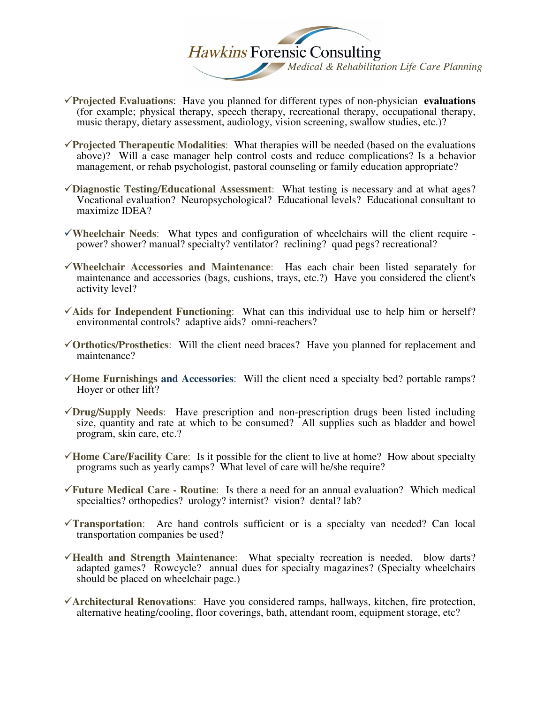

- **Projected Evaluations**: Have you planned for different types of non-physician **evaluations** (for example; physical therapy, speech therapy, recreational therapy, occupational therapy, music therapy, dietary assessment, audiology, vision screening, swallow studies, etc.)?
- **Projected Therapeutic Modalities**: What therapies will be needed (based on the evaluations above)? Will a case manager help control costs and reduce complications? Is a behavior management, or rehab psychologist, pastoral counseling or family education appropriate?
- **Diagnostic Testing/Educational Assessment**: What testing is necessary and at what ages? Vocational evaluation? Neuropsychological? Educational levels? Educational consultant to maximize IDEA?
- **Wheelchair Needs**: What types and configuration of wheelchairs will the client require power? shower? manual? specialty? ventilator? reclining? quad pegs? recreational?
- **Wheelchair Accessories and Maintenance**: Has each chair been listed separately for maintenance and accessories (bags, cushions, trays, etc.?) Have you considered the client's activity level?
- **Aids for Independent Functioning**: What can this individual use to help him or herself? environmental controls? adaptive aids? omni-reachers?
- **Orthotics/Prosthetics**: Will the client need braces? Have you planned for replacement and maintenance?
- **Home Furnishings and Accessories**: Will the client need a specialty bed? portable ramps? Hoyer or other lift?
- **Drug/Supply Needs**: Have prescription and non-prescription drugs been listed including size, quantity and rate at which to be consumed? All supplies such as bladder and bowel program, skin care, etc.?
- **Home Care/Facility Care**: Is it possible for the client to live at home? How about specialty programs such as yearly camps? What level of care will he/she require?
- **Future Medical Care Routine**: Is there a need for an annual evaluation? Which medical specialties? orthopedics? urology? internist? vision? dental? lab?
- $\checkmark$ Transportation: Are hand controls sufficient or is a specialty van needed? Can local transportation companies be used?
- **Health and Strength Maintenance**: What specialty recreation is needed. blow darts? adapted games? Rowcycle? annual dues for specialty magazines? (Specialty wheelchairs should be placed on wheelchair page.)
- **Architectural Renovations**: Have you considered ramps, hallways, kitchen, fire protection, alternative heating/cooling, floor coverings, bath, attendant room, equipment storage, etc?